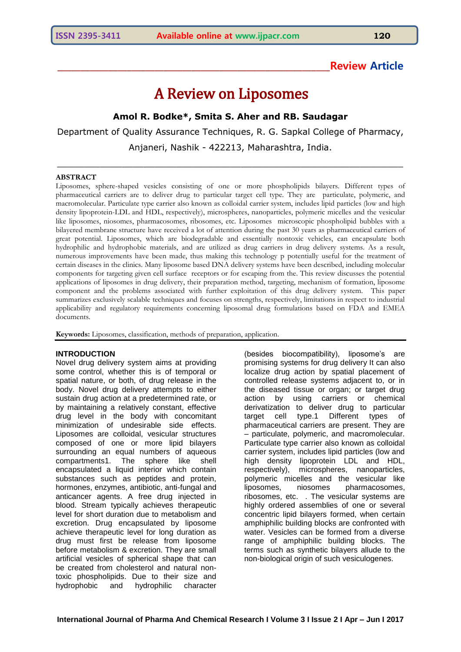# **\_\_\_\_\_\_\_\_\_\_\_\_\_\_\_\_\_\_\_\_\_\_\_\_\_\_\_\_\_\_\_\_\_\_\_\_\_\_\_\_\_\_\_\_\_\_\_\_\_\_\_\_\_\_\_\_\_\_\_Review Article**

# A Review on Liposomes

# **Amol R. Bodke\*, Smita S. Aher and RB. Saudagar**

Department of Quality Assurance Techniques, R. G. Sapkal College of Pharmacy, Anjaneri, Nashik - 422213, Maharashtra, India.

\_\_\_\_\_\_\_\_\_\_\_\_\_\_\_\_\_\_\_\_\_\_\_\_\_\_\_\_\_\_\_\_\_\_\_\_\_\_\_\_\_\_\_\_\_\_\_\_\_\_\_\_\_\_\_\_\_\_\_\_\_\_\_\_

#### **ABSTRACT**

Liposomes, sphere-shaped vesicles consisting of one or more phospholipids bilayers. Different types of pharmaceutical carriers are to deliver drug to particular target cell type. They are particulate, polymeric, and macromolecular. Particulate type carrier also known as colloidal carrier system, includes lipid particles (low and high density lipoprotein-LDL and HDL, respectively), microspheres, nanoparticles, polymeric micelles and the vesicular like liposomes, niosomes, pharmacosomes, ribosomes, etc. Liposomes microscopic phospholipid bubbles with a bilayered membrane structure have received a lot of attention during the past 30 years as pharmaceutical carriers of great potential. Liposomes, which are biodegradable and essentially nontoxic vehicles, can encapsulate both hydrophilic and hydrophobic materials, and are utilized as drug carriers in drug delivery systems. As a result, numerous improvements have been made, thus making this technology p potentially useful for the treatment of certain diseases in the clinics. Many liposome based DNA delivery systems have been described, including molecular components for targeting given cell surface receptors or for escaping from the. This review discusses the potential applications of liposomes in drug delivery, their preparation method, targeting, mechanism of formation, liposome component and the problems associated with further exploitation of this drug delivery system. This paper summarizes exclusively scalable techniques and focuses on strengths, respectively, limitations in respect to industrial applicability and regulatory requirements concerning liposomal drug formulations based on FDA and EMEA documents.

**Keywords:** Liposomes, classification, methods of preparation, application.

#### **INTRODUCTION**

Novel drug delivery system aims at providing some control, whether this is of temporal or spatial nature, or both, of drug release in the body. Novel drug delivery attempts to either sustain drug action at a predetermined rate, or by maintaining a relatively constant, effective drug level in the body with concomitant minimization of undesirable side effects. Liposomes are colloidal, vesicular structures composed of one or more lipid bilayers surrounding an equal numbers of aqueous compartments1. The sphere like shell encapsulated a liquid interior which contain substances such as peptides and protein, hormones, enzymes, antibiotic, anti-fungal and anticancer agents. A free drug injected in blood. Stream typically achieves therapeutic level for short duration due to metabolism and excretion. Drug encapsulated by liposome achieve therapeutic level for long duration as drug must first be release from liposome before metabolism & excretion. They are small artificial vesicles of spherical shape that can be created from cholesterol and natural nontoxic phospholipids. Due to their size and hydrophobic and hydrophilic character

(besides biocompatibility), liposome's are promising systems for drug delivery It can also localize drug action by spatial placement of controlled release systems adjacent to, or in the diseased tissue or organ; or target drug action by using carriers or chemical derivatization to deliver drug to particular target cell type.1 Different types of pharmaceutical carriers are present. They are – particulate, polymeric, and macromolecular. Particulate type carrier also known as colloidal carrier system, includes lipid particles (low and high density lipoprotein LDL and HDL, respectively), microspheres, nanoparticles, polymeric micelles and the vesicular like liposomes, niosomes pharmacosomes, ribosomes, etc. . The vesicular systems are highly ordered assemblies of one or several concentric lipid bilayers formed, when certain amphiphilic building blocks are confronted with water. Vesicles can be formed from a diverse range of amphiphilic building blocks. The terms such as synthetic bilayers allude to the non-biological origin of such vesiculogenes.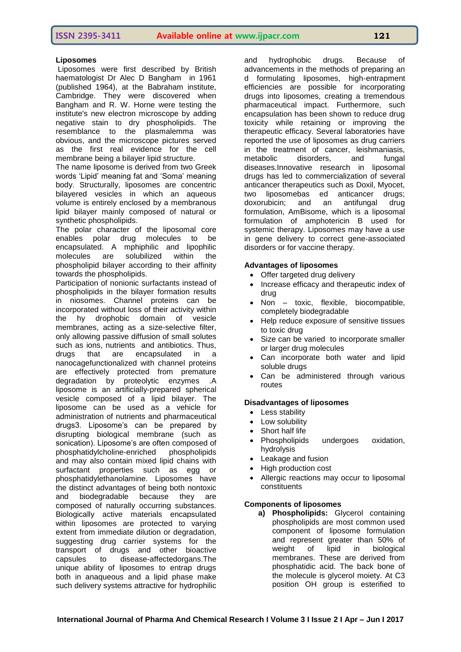# **Liposomes**

Ī

Liposomes were first described by British haematologist Dr Alec D Bangham in 1961 (published 1964), at the Babraham institute, Cambridge. They were discovered when Bangham and R. W. Horne were testing the institute's new electron microscope by adding negative stain to dry phospholipids. The resemblance to the plasmalemma was obvious, and the microscope pictures served as the first real evidence for the cell membrane being a bilayer lipid structure.

The name liposome is derived from two Greek words 'Lipid' meaning fat and 'Soma' meaning body. Structurally, liposomes are concentric bilayered vesicles in which an aqueous volume is entirely enclosed by a membranous lipid bilayer mainly composed of natural or synthetic phospholipids.

The polar character of the liposomal core enables polar drug molecules to be encapsulated. A mphiphilic and lipophilic molecules are solubilized within the phospholipid bilayer according to their affinity towards the phospholipids.

Participation of nonionic surfactants instead of phospholipids in the bilayer formation results in niosomes. Channel proteins can be incorporated without loss of their activity within the hy drophobic domain of vesicle membranes, acting as a size-selective filter, only allowing passive diffusion of small solutes such as ions, nutrients and antibiotics. Thus, drugs that are encapsulated in a nanocagefunctionalized with channel proteins are effectively protected from premature degradation by proteolytic enzymes .A liposome is an artificially-prepared spherical vesicle composed of a lipid bilayer. The liposome can be used as a vehicle for administration of nutrients and pharmaceutical drugs3. Liposome's can be prepared by disrupting biological membrane (such as sonication). Liposome's are often composed of phosphatidylcholine-enriched phospholipids and may also contain mixed lipid chains with surfactant properties such as egg or phosphatidylethanolamine. Liposomes have the distinct advantages of being both nontoxic and biodegradable because they are composed of naturally occurring substances. Biologically active materials encapsulated within liposomes are protected to varying extent from immediate dilution or degradation, suggesting drug carrier systems for the transport of drugs and other bioactive capsules to disease-affectedorgans.The unique ability of liposomes to entrap drugs both in anaqueous and a lipid phase make such delivery systems attractive for hydrophilic and hydrophobic drugs. Because of advancements in the methods of preparing an d formulating liposomes, high‐entrapment efficiencies are possible for incorporating drugs into liposomes, creating a tremendous pharmaceutical impact. Furthermore, such encapsulation has been shown to reduce drug toxicity while retaining or improving the therapeutic efficacy. Several laboratories have reported the use of liposomes as drug carriers in the treatment of cancer, leishmaniasis, metabolic disorders, and fungal diseases.Innovative research in liposomal drugs has led to commercialization of several anticancer therapeutics such as Doxil, Myocet, two liposomebas ed anticancer drugs;<br>doxorubicin; and an antifungal drug doxorubicin; and an formulation, AmBisome, which is a liposomal formulation of amphotericin B used for systemic therapy. Liposomes may have a use in gene delivery to correct gene‐associated disorders or for vaccine therapy.

#### **Advantages of liposomes**

- Offer targeted drug delivery
- Increase efficacy and therapeutic index of drug
- Non toxic, flexible, biocompatible, completely biodegradable
- Help reduce exposure of sensitive tissues to toxic drug
- Size can be varied to incorporate smaller or larger drug molecules
- Can incorporate both water and lipid soluble drugs
- Can be administered through various routes

# **Disadvantages of liposomes**

- Less stability
- Low solubility
- Short half life
- Phospholipids undergoes oxidation, hydrolysis
- Leakage and fusion
- High production cost
- Allergic reactions may occur to liposomal constituents

#### **Components of liposomes**

**a) Phospholipids:** Glycerol containing phospholipids are most common used component of liposome formulation and represent greater than 50% of weight of lipid in biological membranes. These are derived from phosphatidic acid. The back bone of the molecule is glycerol moiety. At C3 position OH group is esterified to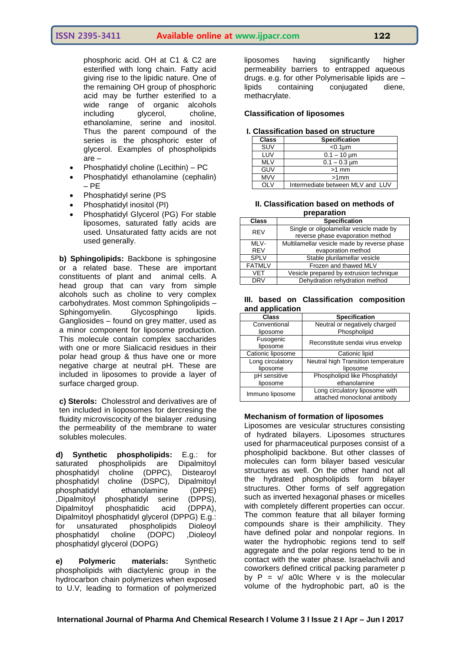phosphoric acid. OH at C1 & C2 are esterified with long chain. Fatty acid giving rise to the lipidic nature. One of the remaining OH group of phosphoric acid may be further esterified to a wide range of organic alcohols including glycerol, choline, ethanolamine, serine and inositol. Thus the parent compound of the series is the phosphoric ester of glycerol. Examples of phospholipids are –

- Phosphatidyl choline (Lecithin) PC
- Phosphatidyl ethanolamine (cephalin) – PE
- Phosphatidyl serine (PS

Ī

- Phosphatidyl inositol (PI)
- Phosphatidyl Glycerol (PG) For stable liposomes, saturated fatly acids are used. Unsaturated fatty acids are not used generally.

**b) Sphingolipids:** Backbone is sphingosine or a related base. These are important constituents of plant and animal cells. A head group that can vary from simple alcohols such as choline to very complex carbohydrates. Most common Sphingolipids – Sphingomyelin. Glycosphingo lipids. Gangliosides – found on grey matter, used as a minor component for liposome production. This molecule contain complex saccharides with one or more Sialicacid residues in their polar head group & thus have one or more negative charge at neutral pH. These are included in liposomes to provide a layer of surface charged group.

**c) Sterols:** Cholesstrol and derivatives are of ten included in lioposomes for dercresing the fluidity microviscocity of the bialayer .redusing the permeability of the membrane to water solubles molecules.

**d) Synthetic phospholipids:** E.g.: for saturated phospholipids are Dipalmitoyl phosphatidyl choline (DPPC), Distearoyl phosphatidyl choline (DSPC), Dipalmitoyl phosphatidyl ethanolamine (DPPE) ,Dipalmitoyl phosphatidyl serine (DPPS), Dipalmitoyl phosphatidic acid (DPPA), Dipalmitoyl phosphatidyl glycerol (DPPG) E.g.: for unsaturated phospholipids Dioleoyl phosphatidyl choline (DOPC) ,Dioleoyl phosphatidyl glycerol (DOPG)

**e) Polymeric materials:** Synthetic phospholipids with diactylenic group in the hydrocarbon chain polymerizes when exposed to U.V, leading to formation of polymerized

liposomes having significantly higher permeability barriers to entrapped aqueous drugs. e.g. for other Polymerisable lipids are – lipids containing conjugated diene, methacrylate.

# **Classification of liposomes**

# **I. Classification based on structure**

| <b>Class</b> | <b>Specification</b>             |
|--------------|----------------------------------|
| SUV          | $< 0.1 \mu m$                    |
| LUV          | $0.1 - 10 \mu m$                 |
| MI V         | $0.1 - 0.3 \mu m$                |
| GUV          | $>1$ mm                          |
| <b>MVV</b>   | $>1$ mm                          |
| /\ וח        | Intermediate between MLV and LUV |

#### **II. Classification based on methods of preparation**

| <b>Class</b>  | <b>Specification</b>                                                        |
|---------------|-----------------------------------------------------------------------------|
| <b>REV</b>    | Single or oligolamellar vesicle made by<br>reverse phase evaporation method |
| MI V-         | Multilamellar vesicle made by reverse phase                                 |
| <b>REV</b>    | evaporation method                                                          |
| <b>SPLV</b>   | Stable plurilamellar vesicle                                                |
| <b>FATMLV</b> | Frozen and thawed MLV                                                       |
| <b>VFT</b>    | Vesicle prepared by extrusion technique                                     |
| <b>DRV</b>    | Dehydration rehydration method                                              |

#### **III. based on Classification composition and application**

| <b>Class</b>          | <b>Specification</b>                                           |
|-----------------------|----------------------------------------------------------------|
| Conventional          | Neutral or negatively charged                                  |
| liposome              | Phospholipid                                                   |
| Fusogenic<br>liposome | Reconstitute sendai virus envelop                              |
| Cationic liposome     | Cationic lipid                                                 |
| Long circulatory      | Neutral high Transition temperature                            |
| liposome              | liposome                                                       |
| pH sensitive          | Phospholipid like Phosphatidyl                                 |
| liposome              | ethanolamine                                                   |
| Immuno liposome       | Long circulatory liposome with<br>attached monoclonal antibody |

#### **Mechanism of formation of liposomes**

Liposomes are vesicular structures consisting of hydrated bilayers. Liposomes structures used for pharmaceutical purposes consist of a phospholipid backbone. But other classes of molecules can form bilayer based vesicular structures as well. On the other hand not all the hydrated phospholipids form bilayer structures. Other forms of self aggregation such as inverted hexagonal phases or micelles with completely different properties can occur. The common feature that all bilayer forming compounds share is their amphilicity. They have defined polar and nonpolar regions. In water the hydrophobic regions tend to self aggregate and the polar regions tend to be in contact with the water phase. Israelachvili and coworkers defined critical packing parameter p by  $P = v / a0$  Where v is the molecular volume of the hydrophobic part, a0 is the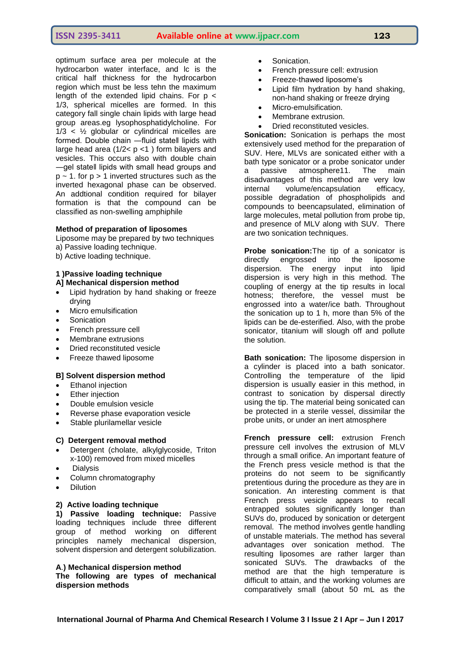optimum surface area per molecule at the hydrocarbon water interface, and lc is the critical half thickness for the hydrocarbon region which must be less tehn the maximum length of the extended lipid chains. For p < 1/3, spherical micelles are formed. In this category fall single chain lipids with large head group areas.eg lysophosphatidylcholine. For  $1/3 <$  % globular or cylindrical micelles are formed. Double chain ―fluid state‖ lipids with large head area  $(1/2 < p < 1)$  form bilayers and vesicles. This occurs also with double chain ―gel state‖ lipids with small head groups and  $p \sim 1$ . for  $p > 1$  inverted structures such as the inverted hexagonal phase can be observed. An addtional condition required for bilayer formation is that the compound can be classified as non-swelling amphiphile

#### **Method of preparation of liposomes**

Liposome may be prepared by two techniques

- a) Passive loading technique.
- b) Active loading technique.

#### **1 )Passive loading technique A] Mechanical dispersion method**

- Lipid hydration by hand shaking or freeze drying
- Micro emulsification
- Sonication
- French pressure cell
- Membrane extrusions
- Dried reconstituted vesicle
- Freeze thawed liposome

# **B] Solvent dispersion method**

- Ethanol injection
- Ether injection
- Double emulsion vesicle
- Reverse phase evaporation vesicle
- Stable plurilamellar vesicle

#### **C) Detergent removal method**

- Detergent (cholate, alkylglycoside, Triton x-100) removed from mixed micelles
- Dialysis
- Column chromatography
- **Dilution**

# **2) Active loading technique**

**1) Passive loading technique:** Passive loading techniques include three different group of method working on different principles namely mechanical dispersion, solvent dispersion and detergent solubilization.

### **A**.**) Mechanical dispersion method The following are types of mechanical dispersion methods**

- Sonication.
- French pressure cell: extrusion
- Freeze-thawed liposome's
- Lipid film hydration by hand shaking, non-hand shaking or freeze drying
- Micro-emulsification.
- Membrane extrusion.
- Dried reconstituted vesicles.

**Sonication:** Sonication is perhaps the most extensively used method for the preparation of SUV. Here, MLVs are sonicated either with a bath type sonicator or a probe sonicator under a passive atmosphere11. The main disadvantages of this method are very low internal volume/encapsulation efficacy, possible degradation of phospholipids and compounds to beencapsulated, elimination of large molecules, metal pollution from probe tip, and presence of MLV along with SUV. There are two sonication techniques.

**Probe sonication:**The tip of a sonicator is directly engrossed into the liposome dispersion. The energy input into lipid dispersion is very high in this method. The coupling of energy at the tip results in local hotness; therefore, the vessel must be engrossed into a water/ice bath. Throughout the sonication up to 1 h, more than 5% of the lipids can be de-esterified. Also, with the probe sonicator, titanium will slough off and pollute the solution.

**Bath sonication:** The liposome dispersion in a cylinder is placed into a bath sonicator. Controlling the temperature of the lipid dispersion is usually easier in this method, in contrast to sonication by dispersal directly using the tip. The material being sonicated can be protected in a sterile vessel, dissimilar the probe units, or under an inert atmosphere

**French pressure cell:** extrusion French pressure cell involves the extrusion of MLV through a small orifice. An important feature of the French press vesicle method is that the proteins do not seem to be significantly pretentious during the procedure as they are in sonication. An interesting comment is that French press vesicle appears to recall entrapped solutes significantly longer than SUVs do, produced by sonication or detergent removal. The method involves gentle handling of unstable materials. The method has several advantages over sonication method. The resulting liposomes are rather larger than sonicated SUVs. The drawbacks of the method are that the high temperature is difficult to attain, and the working volumes are comparatively small (about 50 mL as the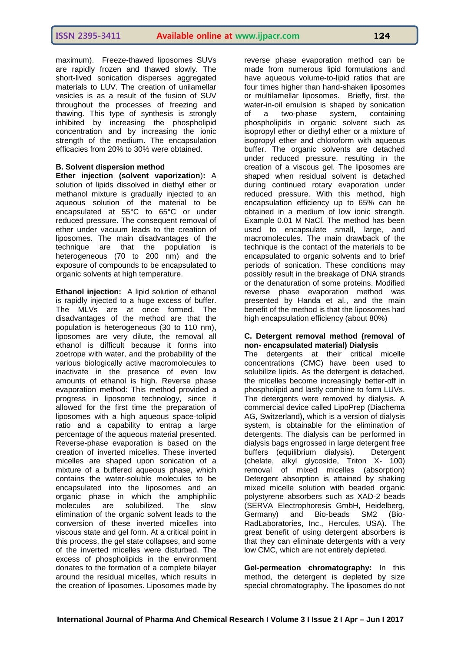maximum). Freeze-thawed liposomes SUVs are rapidly frozen and thawed slowly. The short-lived sonication disperses aggregated materials to LUV. The creation of unilamellar vesicles is as a result of the fusion of SUV throughout the processes of freezing and thawing. This type of synthesis is strongly inhibited by increasing the phospholipid concentration and by increasing the ionic strength of the medium. The encapsulation efficacies from 20% to 30% were obtained.

# **B. Solvent dispersion method**

**Ether injection (solvent vaporization**)**:** A solution of lipids dissolved in diethyl ether or methanol mixture is gradually injected to an aqueous solution of the material to be encapsulated at 55°C to 65°C or under reduced pressure. The consequent removal of ether under vacuum leads to the creation of liposomes. The main disadvantages of the technique are that the population is heterogeneous (70 to 200 nm) and the exposure of compounds to be encapsulated to organic solvents at high temperature.

**Ethanol injection:** A lipid solution of ethanol is rapidly injected to a huge excess of buffer. The MLVs are at once formed. The disadvantages of the method are that the population is heterogeneous (30 to 110 nm), liposomes are very dilute, the removal all ethanol is difficult because it forms into zoetrope with water, and the probability of the various biologically active macromolecules to inactivate in the presence of even low amounts of ethanol is high. Reverse phase evaporation method: This method provided a progress in liposome technology, since it allowed for the first time the preparation of liposomes with a high aqueous space-tolipid ratio and a capability to entrap a large percentage of the aqueous material presented. Reverse-phase evaporation is based on the creation of inverted micelles. These inverted micelles are shaped upon sonication of a mixture of a buffered aqueous phase, which contains the water-soluble molecules to be encapsulated into the liposomes and an organic phase in which the amphiphilic molecules are solubilized. The slow elimination of the organic solvent leads to the conversion of these inverted micelles into viscous state and gel form. At a critical point in this process, the gel state collapses, and some of the inverted micelles were disturbed. The excess of phospholipids in the environment donates to the formation of a complete bilayer around the residual micelles, which results in the creation of liposomes. Liposomes made by

reverse phase evaporation method can be made from numerous lipid formulations and have aqueous volume-to-lipid ratios that are four times higher than hand-shaken liposomes or multilamellar liposomes. Briefly, first, the water-in-oil emulsion is shaped by sonication of a two-phase system, containing phospholipids in organic solvent such as isopropyl ether or diethyl ether or a mixture of isopropyl ether and chloroform with aqueous buffer. The organic solvents are detached under reduced pressure, resulting in the creation of a viscous gel. The liposomes are shaped when residual solvent is detached during continued rotary evaporation under reduced pressure. With this method, high encapsulation efficiency up to 65% can be obtained in a medium of low ionic strength. Example 0.01 M NaCl. The method has been used to encapsulate small, large, and macromolecules. The main drawback of the technique is the contact of the materials to be encapsulated to organic solvents and to brief periods of sonication. These conditions may possibly result in the breakage of DNA strands or the denaturation of some proteins. Modified reverse phase evaporation method was presented by Handa et al., and the main benefit of the method is that the liposomes had high encapsulation efficiency (about 80%)

#### **C. Detergent removal method (removal of non- encapsulated material) Dialysis**

The detergents at their critical micelle concentrations (CMC) have been used to solubilize lipids. As the detergent is detached, the micelles become increasingly better-off in phospholipid and lastly combine to form LUVs. The detergents were removed by dialysis. A commercial device called LipoPrep (Diachema AG, Switzerland), which is a version of dialysis system, is obtainable for the elimination of detergents. The dialysis can be performed in dialysis bags engrossed in large detergent free buffers (equilibrium dialysis). Detergent (chelate, alkyl glycoside, Triton X- 100) removal of mixed micelles (absorption) Detergent absorption is attained by shaking mixed micelle solution with beaded organic polystyrene absorbers such as XAD-2 beads (SERVA Electrophoresis GmbH, Heidelberg, Germany) and Bio-beads SM2 (Bio-RadLaboratories, Inc., Hercules, USA). The great benefit of using detergent absorbers is that they can eliminate detergents with a very low CMC, which are not entirely depleted.

**Gel-permeation chromatography:** In this method, the detergent is depleted by size special chromatography. The liposomes do not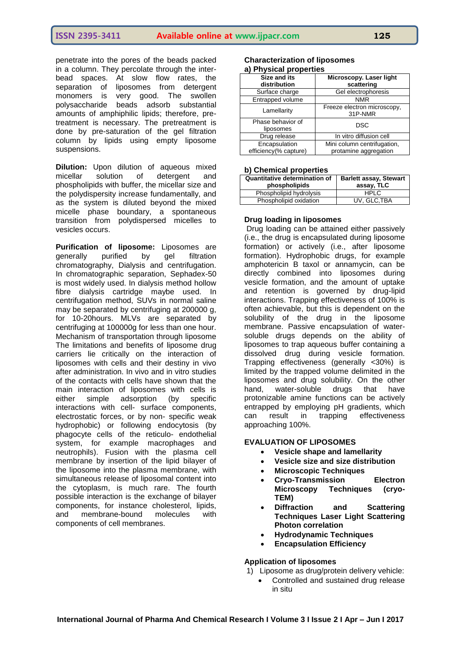penetrate into the pores of the beads packed in a column. They percolate through the interbead spaces. At slow flow rates, the separation of liposomes from detergent monomers is very good. The swollen polysaccharide beads adsorb substantial amounts of amphiphilic lipids; therefore, pretreatment is necessary. The pretreatment is done by pre-saturation of the gel filtration column by lipids using empty liposome suspensions.

**Dilution:** Upon dilution of aqueous mixed micellar solution of detergent and phospholipids with buffer, the micellar size and the polydispersity increase fundamentally, and as the system is diluted beyond the mixed micelle phase boundary, a spontaneous transition from polydispersed micelles to vesicles occurs.

**Purification of liposome:** Liposomes are generally purified by gel filtration chromatography, Dialysis and centrifugation. In chromatographic separation, Sephadex-50 is most widely used. In dialysis method hollow fibre dialysis cartridge maybe used. In centrifugation method, SUVs in normal saline may be separated by centrifuging at 200000 g, for 10-20hours. MLVs are separated by centrifuging at 100000g for less than one hour. Mechanism of transportation through liposome The limitations and benefits of liposome drug carriers lie critically on the interaction of liposomes with cells and their destiny in vivo after administration. In vivo and in vitro studies of the contacts with cells have shown that the main interaction of liposomes with cells is either simple adsorption (by specific interactions with cell- surface components, electrostatic forces, or by non- specific weak hydrophobic) or following endocytosis (by phagocyte cells of the reticulo- endothelial system, for example macrophages and neutrophils). Fusion with the plasma cell membrane by insertion of the lipid bilayer of the liposome into the plasma membrane, with simultaneous release of liposomal content into the cytoplasm, is much rare. The fourth possible interaction is the exchange of bilayer components, for instance cholesterol, lipids, and membrane-bound molecules with components of cell membranes.

#### **Characterization of liposomes a) Physical properties**

| <b>Size and its</b><br>distribution | Microscopy. Laser light<br>scattering  |
|-------------------------------------|----------------------------------------|
| Surface charge                      | Gel electrophoresis                    |
| Entrapped volume                    | <b>NMR</b>                             |
| Lamellarity                         | Freeze electron microscopy,<br>31P-NMR |
| Phase behavior of<br>liposomes      | <b>DSC</b>                             |
| Drug release                        | In vitro diffusion cell                |
| Encapsulation                       | Mini column centrifugation,            |
| efficiency(% capture)               | protamine aggregation                  |

#### **b) Chemical properties**

| Quantitative determination of<br>phospholipids | <b>Barlett assay, Stewart</b><br>assay, TLC |
|------------------------------------------------|---------------------------------------------|
| Phospholipid hydrolysis                        | <b>HPLC</b>                                 |
| Phospholipid oxidation                         | UV. GLC.TBA                                 |

# **Drug loading in liposomes**

Drug loading can be attained either passively (i.e., the drug is encapsulated during liposome formation) or actively (i.e., after liposome formation). Hydrophobic drugs, for example amphotericin B taxol or annamycin, can be directly combined into liposomes during vesicle formation, and the amount of uptake and retention is governed by drug-lipid interactions. Trapping effectiveness of 100% is often achievable, but this is dependent on the solubility of the drug in the liposome membrane. Passive encapsulation of watersoluble drugs depends on the ability of liposomes to trap aqueous buffer containing a dissolved drug during vesicle formation. Trapping effectiveness (generally <30%) is limited by the trapped volume delimited in the liposomes and drug solubility. On the other hand, water-soluble drugs that have protonizable amine functions can be actively entrapped by employing pH gradients, which<br>can result in trapping effectiveness can result in trapping effectiveness approaching 100%.

# **EVALUATION OF LIPOSOMES**

- **Vesicle shape and lamellarity**
- **Vesicle size and size distribution**
- **Microscopic Techniques**
- **Cryo-Transmission Electron Microscopy Techniques (cryo-TEM)**
- **Diffraction and Scattering Techniques Laser Light Scattering Photon correlation**
- **Hydrodynamic Techniques**
- **Encapsulation Efficiency**

# **Application of liposomes**

- 1) Liposome as drug/protein delivery vehicle:
	- Controlled and sustained drug release in situ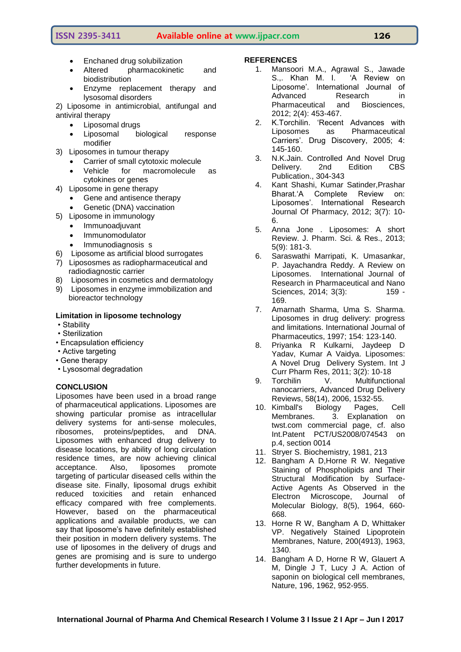- Enchaned drug solubilization Altered pharmacokinetic and biodistribution
- Enzyme replacement therapy and lysosomal disorders

2) Liposome in antimicrobial, antifungal and antiviral therapy

- Liposomal drugs
- Liposomal biological response modifier
- 3) Liposomes in tumour therapy
	- Carrier of small cytotoxic molecule
	- Vehicle for macromolecule as cytokines or genes
- 4) Liposome in gene therapy
	- Gene and antisence therapy
	- Genetic (DNA) vaccination
- 5) Liposome in immunology
	- Immunoadjuvant
	- Immunomodulator
	- Immunodiagnosis s
- 6) Liposome as artificial blood surrogates
- 7) Lipososmes as radiopharmaceutical and radiodiagnostic carrier
- 8) Liposomes in cosmetics and dermatology
- 9) Liposomes in enzyme immobilization and bioreactor technology

# **Limitation in liposome technology**

- Stability
- Sterilization
- Encapsulation efficiency
- Active targeting
- Gene therapy
- Lysosomal degradation

# **CONCLUSION**

Liposomes have been used in a broad range of pharmaceutical applications. Liposomes are showing particular promise as intracellular delivery systems for anti-sense molecules, ribosomes, proteins/peptides, and DNA. Liposomes with enhanced drug delivery to disease locations, by ability of long circulation residence times, are now achieving clinical acceptance. Also, liposomes promote targeting of particular diseased cells within the disease site. Finally, liposomal drugs exhibit reduced toxicities and retain enhanced efficacy compared with free complements. However, based on the pharmaceutical applications and available products, we can say that liposome's have definitely established their position in modern delivery systems. The use of liposomes in the delivery of drugs and genes are promising and is sure to undergo further developments in future.

### **REFERENCES**

- 1. Mansoori M.A., Agrawal S., Jawade S.,. Khan M. I. 'A Review on Liposome'. International Journal of Advanced Research in Pharmaceutical and Biosciences, 2012; 2(4): 453-467.
- 2. K.Torchilin. 'Recent Advances with Liposomes as Pharmaceutical Carriers'. Drug Discovery, 2005; 4: 145-160.
- 3. N.K.Jain. Controlled And Novel Drug Delivery. 2nd Edition CBS Publication., 304-343
- 4. Kant Shashi, Kumar Satinder,Prashar Bharat.'A Complete Review on: Liposomes'. International Research Journal Of Pharmacy, 2012; 3(7): 10- 6.
- 5. Anna Jone . Liposomes: A short Review. J. Pharm. Sci. & Res., 2013; 5(9): 181-3.
- 6. Saraswathi Marripati, K. Umasankar, P. Jayachandra Reddy. A Review on Liposomes. International Journal of Research in Pharmaceutical and Nano Sciences, 2014; 3(3): 159 -169.
- 7. Amarnath Sharma, Uma S. Sharma. Liposomes in drug delivery: progress and limitations. International Journal of Pharmaceutics, 1997; 154: 123-140.
- 8. Priyanka R Kulkarni, Jaydeep D Yadav, Kumar A Vaidya. Liposomes: A Novel Drug Delivery System. Int J Curr Pharm Res, 2011; 3(2): 10-18
- 9. Torchilin V. Multifunctional nanocarriers, Advanced Drug Delivery Reviews, 58(14), 2006, 1532-55.
- 10. Kimball's Biology Pages, Cell Membranes. 3. Explanation on twst.com commercial page, cf. also Int.Patent PCT/US2008/074543 on p.4, section 0014
- 11. Stryer S. Biochemistry, 1981, 213
- 12. Bangham A D,Horne R W. Negative Staining of Phospholipids and Their Structural Modification by Surface-Active Agents As Observed in the Electron Microscope, Journal of Molecular Biology, 8(5), 1964, 660- 668.
- 13. Horne R W, Bangham A D, Whittaker VP. Negatively Stained Lipoprotein Membranes, Nature, 200(4913), 1963, 1340.
- 14. Bangham A D, Horne R W, Glauert A M, Dingle J T, Lucy J A. Action of saponin on biological cell membranes, Nature, 196, 1962, 952-955.

Ī